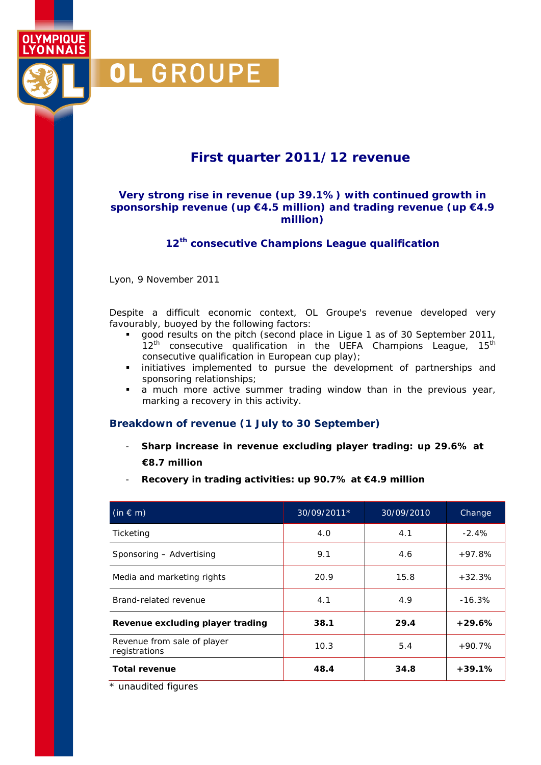**First quarter 2011/12 revenue** 

### **Very strong rise in revenue (up 39.1%) with continued growth in sponsorship revenue (up €4.5 million) and trading revenue (up €4.9 million)**

**12th consecutive Champions League qualification** 

Lyon, 9 November 2011

OL GROUPE

**OLYMPIQUE LYONNAIS** 

> Despite a difficult economic context, OL Groupe's revenue developed very favourably, buoyed by the following factors:

- good results on the pitch (second place in Ligue 1 as of 30 September 2011,  $12<sup>th</sup>$  consecutive qualification in the UEFA Champions League,  $15<sup>th</sup>$ consecutive qualification in European cup play);
- **·** initiatives implemented to pursue the development of partnerships and sponsoring relationships;
- a much more active summer trading window than in the previous year, marking a recovery in this activity.

#### **Breakdown of revenue (1 July to 30 September)**

- **Sharp increase in revenue excluding player trading: up 29.6% at €8.7 million**
- **Recovery in trading activities: up 90.7% at €4.9 million**

| $(in \in m)$                                 | 30/09/2011* | 30/09/2010 | Change   |
|----------------------------------------------|-------------|------------|----------|
| Ticketing                                    | 4.0         | 4.1        | $-2.4%$  |
| Sponsoring - Advertising                     | 9.1         | 4.6        | $+97.8%$ |
| Media and marketing rights                   | 20.9        | 15.8       | $+32.3%$ |
| Brand-related revenue                        | 4.1         | 4.9        | $-16.3%$ |
| Revenue excluding player trading             | 38.1        | 29.4       | $+29.6%$ |
| Revenue from sale of player<br>registrations | 10.3        | 5.4        | $+90.7%$ |
| <b>Total revenue</b>                         | 48.4        | 34.8       | $+39.1%$ |

\* unaudited figures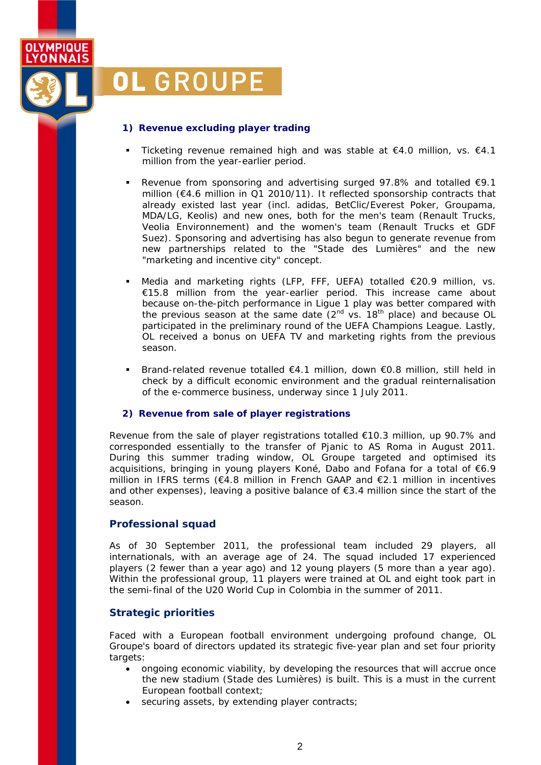

# **OL GROUPE**

#### **1) Revenue excluding player trading**

- Ticketing revenue remained high and was stable at  $€4.0$  million, vs.  $€4.1$ million from the year-earlier period.
- Revenue from sponsoring and advertising surged 97.8% and totalled  $€9.1$ million (€4.6 million in Q1 2010/11). It reflected sponsorship contracts that already existed last year (incl. adidas, BetClic/Everest Poker, Groupama, MDA/LG, Keolis) and new ones, both for the men's team (Renault Trucks, Veolia Environnement) and the women's team (Renault Trucks et GDF Suez). Sponsoring and advertising has also begun to generate revenue from new partnerships related to the "*Stade des Lumières*" and the new "marketing and incentive city" concept.
- Media and marketing rights (LFP, FFF, UEFA) totalled €20.9 million, vs. €15.8 million from the year-earlier period. This increase came about because on-the-pitch performance in Ligue 1 play was better compared with the previous season at the same date  $(2^{nd}$  vs.  $18^{th}$  place) and because OL participated in the preliminary round of the UEFA Champions League. Lastly, OL received a bonus on UEFA TV and marketing rights from the previous season.
- Brand-related revenue totalled €4.1 million, down €0.8 million, still held in check by a difficult economic environment and the gradual reinternalisation of the e-commerce business, underway since 1 July 2011.

#### **2) Revenue from sale of player registrations**

Revenue from the sale of player registrations totalled €10.3 million, up 90.7% and corresponded essentially to the transfer of Pjanic to AS Roma in August 2011. During this summer trading window, OL Groupe targeted and optimised its acquisitions, bringing in young players Koné, Dabo and Fofana for a total of €6.9 million in IFRS terms (€4.8 million in French GAAP and €2.1 million in incentives and other expenses), leaving a positive balance of  $\epsilon$ 3.4 million since the start of the season.

#### **Professional squad**

As of 30 September 2011, the professional team included 29 players, all internationals, with an average age of 24. The squad included 17 experienced players (2 fewer than a year ago) and 12 young players (5 more than a year ago). Within the professional group, 11 players were trained at OL and eight took part in the semi-final of the U20 World Cup in Colombia in the summer of 2011.

## **Strategic priorities**

Faced with a European football environment undergoing profound change, OL Groupe's board of directors updated its strategic five-year plan and set four priority targets:

- ongoing economic viability, by developing the resources that will accrue once the new stadium (*Stade des Lumières*) is built. This is a must in the current European football context;
- securing assets, by extending player contracts;